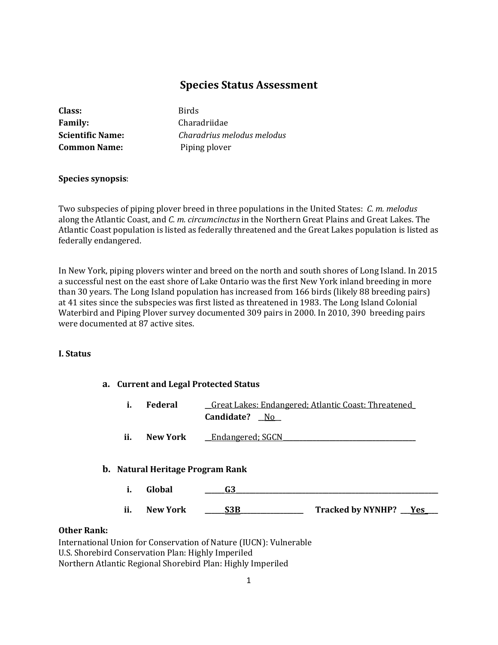# **Species Status Assessment**

| Class:                  |
|-------------------------|
| <b>Family:</b>          |
| <b>Scientific Name:</b> |
| <b>Common Name:</b>     |

**Birds** Charadriidae *Charadrius melodus melodus* Piping plover

# **Species synopsis**:

Two subspecies of piping plover breed in three populations in the United States: *C. m. melodus* along the Atlantic Coast, and *C. m. circumcinctus* in the Northern Great Plains and Great Lakes. The Atlantic Coast population is listed as federally threatened and the Great Lakes population is listed as federally endangered.

In New York, piping plovers winter and breed on the north and south shores of Long Island. In 2015 a successful nest on the east shore of Lake Ontario was the first New York inland breeding in more than 30 years. The Long Island population has increased from 166 birds (likely 88 breeding pairs) at 41 sites since the subspecies was first listed as threatened in 1983. The Long Island Colonial Waterbird and Piping Plover survey documented 309 pairs in 2000. In 2010, 390 breeding pairs were documented at 87 active sites.

# **I. Status**

# **a. Current and Legal Protected Status**

- **i. Federal \_\_**Great Lakes: Endangered; Atlantic Coast: Threatened**\_ Candidate? \_\_**No**\_\_**
- **ii. New York Endangered**; SGCN

# **b. Natural Heritage Program Rank**

**i. Global \_\_\_\_\_\_G3\_\_\_\_\_\_\_\_\_\_\_\_\_\_\_\_\_\_\_\_\_\_\_\_\_\_\_\_\_\_\_\_\_\_\_\_\_\_\_\_\_\_\_\_\_\_\_\_\_\_\_\_\_\_\_\_\_\_\_\_\_ ii. New York \_\_\_\_\_\_S3B\_\_\_\_\_\_\_\_\_\_\_\_\_\_\_\_\_\_\_ Tracked by NYNHP? \_\_\_Yes\_\_\_\_**

#### **Other Rank:**

International Union for Conservation of Nature (IUCN): Vulnerable U.S. Shorebird Conservation Plan: Highly Imperiled Northern Atlantic Regional Shorebird Plan: Highly Imperiled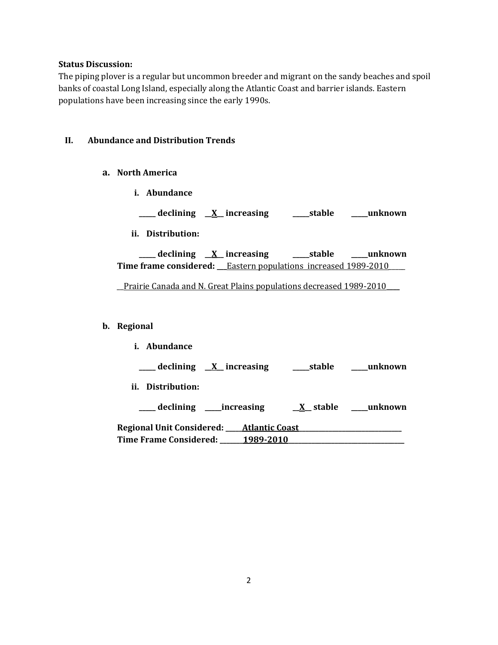### **Status Discussion:**

The piping plover is a regular but uncommon breeder and migrant on the sandy beaches and spoil banks of coastal Long Island, especially along the Atlantic Coast and barrier islands. Eastern populations have been increasing since the early 1990s.

# **II. Abundance and Distribution Trends**

- **a. North America**
	- **i. Abundance**
	- **\_\_\_\_\_ declining \_\_X\_\_ increasing \_\_\_\_\_stable \_\_\_\_\_unknown**
	- **ii. Distribution:**

**\_\_\_\_\_ declining \_\_X\_\_ increasing \_\_\_\_\_stable \_\_\_\_\_unknown Time frame considered:** Eastern populations increased 1989-2010

\_\_Prairie Canada and N. Great Plains populations decreased 1989-2010**\_\_\_\_**

#### **b. Regional**

| i. Abundance                                                |                       |
|-------------------------------------------------------------|-----------------------|
| $\frac{1}{\sqrt{1-x^2}}$ declining $\frac{X}{X}$ increasing | unknown<br>____stable |
| ii. Distribution:                                           |                       |
| declining ______increasing                                  | X stable unknown      |
| Regional Unit Considered: _____ Atlantic Coast              |                       |
| Time Frame Considered: _                                    | 1989-2010             |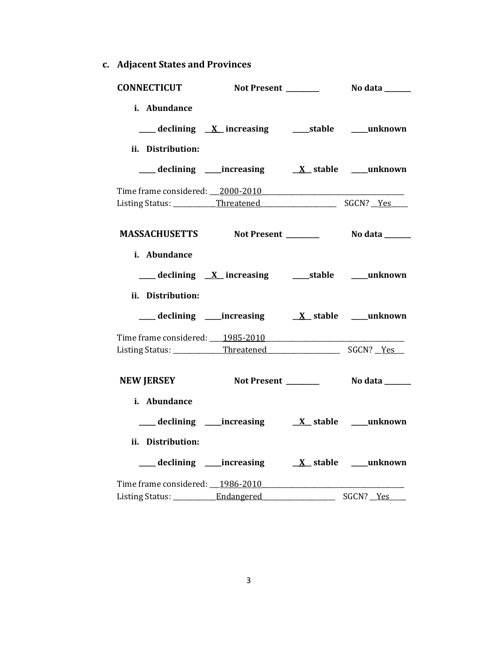**c. Adjacent States and Provinces**

| <b>CONNECTICUT</b>                                | Not Present _______ |                          | No data ______   |
|---------------------------------------------------|---------------------|--------------------------|------------------|
| i. Abundance                                      |                     |                          |                  |
|                                                   |                     |                          |                  |
| ii. Distribution:                                 |                     |                          |                  |
|                                                   |                     |                          |                  |
| Time frame considered: 2000-2010                  |                     |                          |                  |
|                                                   |                     |                          |                  |
|                                                   |                     |                          |                  |
| MASSACHUSETTS Not Present ________ No data ______ |                     |                          |                  |
| i. Abundance                                      |                     |                          |                  |
|                                                   |                     |                          |                  |
|                                                   |                     |                          |                  |
| ii. Distribution:                                 |                     |                          |                  |
|                                                   |                     |                          |                  |
| Time frame considered: 1985-2010                  |                     |                          |                  |
|                                                   |                     |                          |                  |
|                                                   |                     |                          |                  |
| NEW JERSEY Not Present __________ No data ______  |                     |                          |                  |
| i. Abundance                                      |                     |                          |                  |
|                                                   |                     |                          |                  |
| ii. Distribution:                                 |                     |                          |                  |
|                                                   |                     |                          |                  |
|                                                   |                     |                          |                  |
| Listing Status: ___________Endangered             |                     | $\overline{\phantom{a}}$ | SGCN? <u>Yes</u> |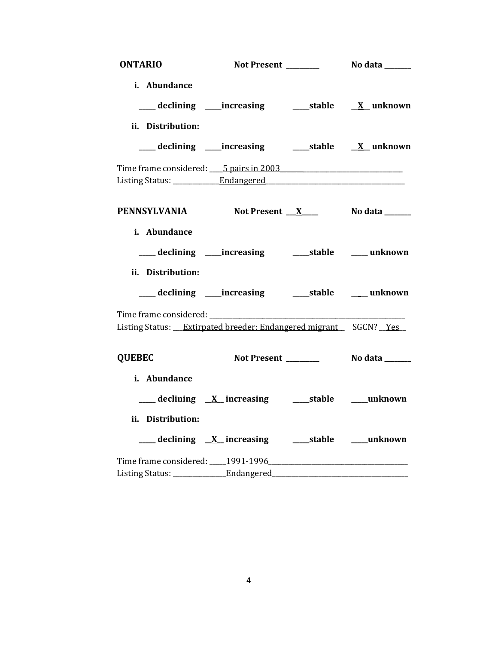| <b>ONTARIO</b>                                                             |                                                     |                      |
|----------------------------------------------------------------------------|-----------------------------------------------------|----------------------|
| i. Abundance                                                               |                                                     |                      |
|                                                                            |                                                     |                      |
| ii. Distribution:                                                          |                                                     |                      |
|                                                                            |                                                     |                      |
| Time frame considered: 5 pairs in 2003                                     |                                                     |                      |
|                                                                            |                                                     |                      |
| PENNSYLVANIA Not Present X                                                 |                                                     | No data _______      |
| i. Abundance                                                               |                                                     |                      |
|                                                                            |                                                     |                      |
| ii. Distribution:                                                          |                                                     |                      |
| ___ declining ____ increasing                                              |                                                     | stable _____ unknown |
| Listing Status: __Extirpated breeder; Endangered migrant __ SGCN? __Yes __ |                                                     |                      |
| <b>QUEBEC</b>                                                              | Not Present _______                                 | No data _______      |
| i. Abundance                                                               |                                                     |                      |
|                                                                            |                                                     |                      |
| ii. Distribution:                                                          |                                                     |                      |
|                                                                            | ___ declining X increasing ____ stable ____ unknown |                      |
|                                                                            |                                                     |                      |
|                                                                            |                                                     |                      |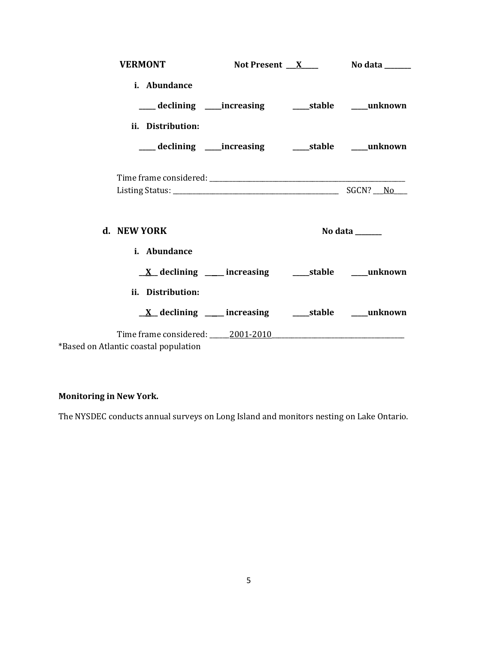| <b>VERMONT</b>    |                                                                       | Not Present $X$ No data _______ |
|-------------------|-----------------------------------------------------------------------|---------------------------------|
| i. Abundance      |                                                                       |                                 |
|                   | ___ declining ____increasing ______stable ____unknown                 |                                 |
| ii. Distribution: |                                                                       |                                 |
|                   | ___ declining ____ increasing _____ stable ____ unknown               |                                 |
|                   |                                                                       |                                 |
| d. NEW YORK       |                                                                       |                                 |
|                   |                                                                       | No data ______                  |
| i. Abundance      |                                                                       |                                 |
|                   | $\underline{X}$ declining ____ increasing ______stable ______ unknown |                                 |
| ii. Distribution: |                                                                       |                                 |
|                   | $\underline{X}$ declining ____ increasing ______stable ______ unknown |                                 |

# **Monitoring in New York.**

The NYSDEC conducts annual surveys on Long Island and monitors nesting on Lake Ontario.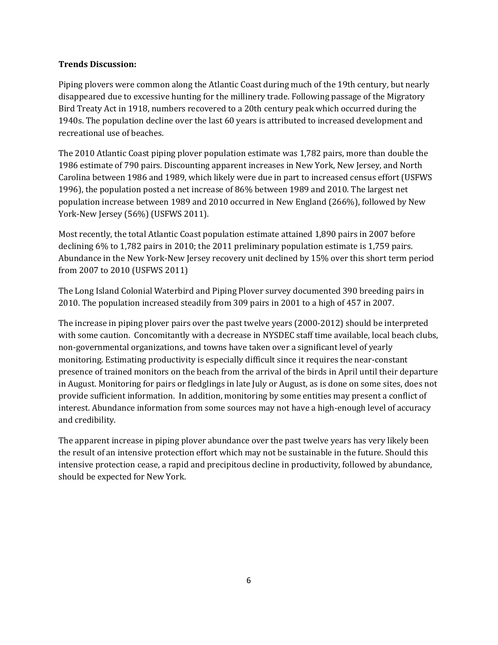# **Trends Discussion:**

Piping plovers were common along the Atlantic Coast during much of the 19th century, but nearly disappeared due to excessive hunting for the millinery trade. Following passage of the Migratory Bird Treaty Act in 1918, numbers recovered to a 20th century peak which occurred during the 1940s. The population decline over the last 60 years is attributed to increased development and recreational use of beaches.

The 2010 Atlantic Coast piping plover population estimate was 1,782 pairs, more than double the 1986 estimate of 790 pairs. Discounting apparent increases in New York, New Jersey, and North Carolina between 1986 and 1989, which likely were due in part to increased census effort (USFWS 1996), the population posted a net increase of 86% between 1989 and 2010. The largest net population increase between 1989 and 2010 occurred in New England (266%), followed by New York-New Jersey (56%) (USFWS 2011).

Most recently, the total Atlantic Coast population estimate attained 1,890 pairs in 2007 before declining 6% to 1,782 pairs in 2010; the 2011 preliminary population estimate is 1,759 pairs. Abundance in the New York-New Jersey recovery unit declined by 15% over this short term period from 2007 to 2010 (USFWS 2011)

The Long Island Colonial Waterbird and Piping Plover survey documented 390 breeding pairs in 2010. The population increased steadily from 309 pairs in 2001 to a high of 457 in 2007.

The increase in piping plover pairs over the past twelve years (2000-2012) should be interpreted with some caution. Concomitantly with a decrease in NYSDEC staff time available, local beach clubs, non-governmental organizations, and towns have taken over a significant level of yearly monitoring. Estimating productivity is especially difficult since it requires the near-constant presence of trained monitors on the beach from the arrival of the birds in April until their departure in August. Monitoring for pairs or fledglings in late July or August, as is done on some sites, does not provide sufficient information. In addition, monitoring by some entities may present a conflict of interest. Abundance information from some sources may not have a high-enough level of accuracy and credibility.

The apparent increase in piping plover abundance over the past twelve years has very likely been the result of an intensive protection effort which may not be sustainable in the future. Should this intensive protection cease, a rapid and precipitous decline in productivity, followed by abundance, should be expected for New York.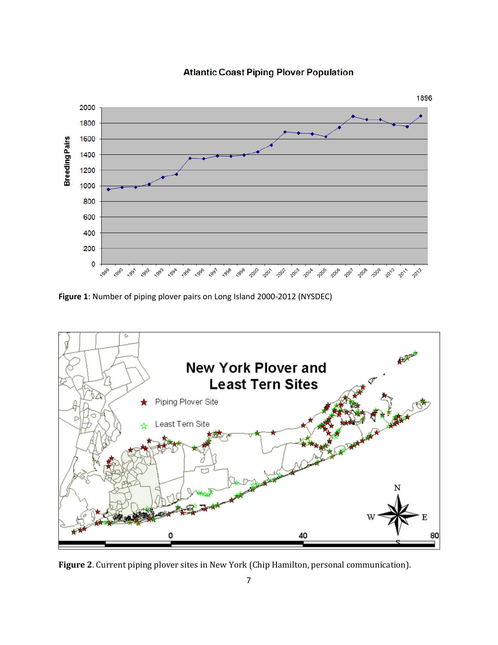

**Atlantic Coast Piping Plover Population** 

**Figure 1**: Number of piping plover pairs on Long Island 2000-2012 (NYSDEC)



**Figure 2**. Current piping plover sites in New York (Chip Hamilton, personal communication).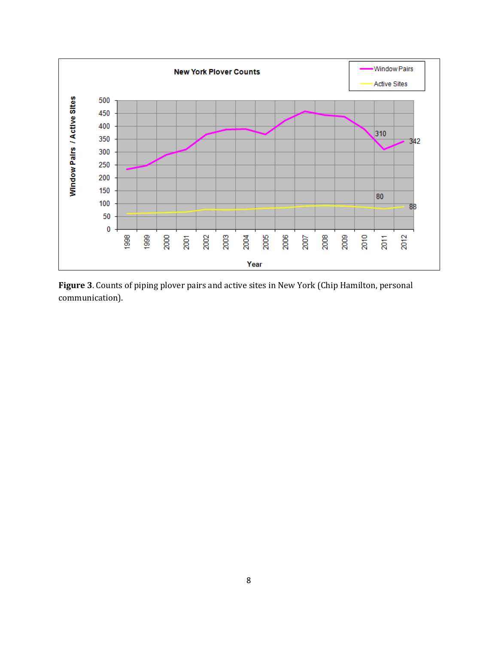

**Figure 3**. Counts of piping plover pairs and active sites in New York (Chip Hamilton, personal communication).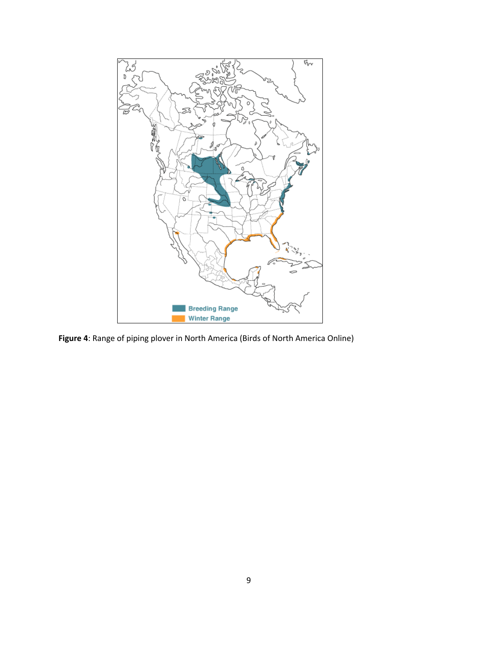

**Figure 4**: Range of piping plover in North America (Birds of North America Online)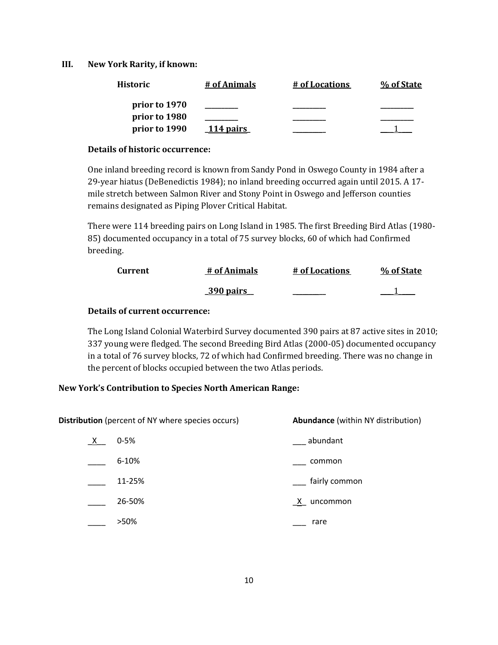**III. New York Rarity, if known:**

| Historic      | # of Animals | # of Locations | % of State |
|---------------|--------------|----------------|------------|
| prior to 1970 |              |                |            |
| prior to 1980 |              |                |            |
| prior to 1990 | 114 pairs    |                |            |

#### **Details of historic occurrence:**

One inland breeding record is known from Sandy Pond in Oswego County in 1984 after a 29-year hiatus (DeBenedictis 1984); no inland breeding occurred again until 2015. A 17 mile stretch between Salmon River and Stony Point in Oswego and Jefferson counties remains designated as Piping Plover Critical Habitat.

There were 114 breeding pairs on Long Island in 1985. The first Breeding Bird Atlas (1980- 85) documented occupancy in a total of 75 survey blocks, 60 of which had Confirmed breeding.

| Current | # of Animals     | # of Locations | % of State |
|---------|------------------|----------------|------------|
|         | <u>390 pairs</u> |                |            |

# **Details of current occurrence:**

The Long Island Colonial Waterbird Survey documented 390 pairs at 87 active sites in 2010; 337 young were fledged. The second Breeding Bird Atlas (2000-05) documented occupancy in a total of 76 survey blocks, 72 of which had Confirmed breeding. There was no change in the percent of blocks occupied between the two Atlas periods.

# **New York's Contribution to Species North American Range:**

| <b>Distribution</b> (percent of NY where species occurs) |          | <b>Abundance</b> (within NY distribution) |  |
|----------------------------------------------------------|----------|-------------------------------------------|--|
| <u>X</u>                                                 | $0 - 5%$ | abundant                                  |  |
|                                                          | 6-10%    | common                                    |  |
|                                                          | 11-25%   | fairly common                             |  |
|                                                          | 26-50%   | $X_$ uncommon                             |  |
|                                                          | >50%     | rare                                      |  |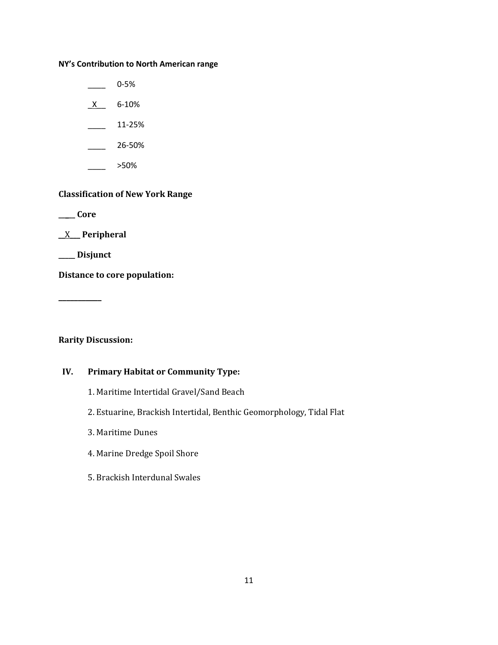# **NY's Contribution to North American range**

 $\frac{1}{2}$  0-5%  $X$  6-10%

 $\frac{11-25\%}{2}$ 

 $\frac{26-50\%}{26}$ 

 $\frac{1}{2}$  >50%

# **Classification of New York Range**

**\_\_\_\_\_ Core**

\_\_X\_\_\_ **Peripheral**

**\_\_\_\_\_ Disjunct**

**Distance to core population:**

**\_\_\_\_\_\_\_\_\_\_\_**

# **Rarity Discussion:**

# **IV. Primary Habitat or Community Type:**

- 1. Maritime Intertidal Gravel/Sand Beach
- 2. Estuarine, Brackish Intertidal, Benthic Geomorphology, Tidal Flat
- 3. Maritime Dunes
- 4. Marine Dredge Spoil Shore
- 5. Brackish Interdunal Swales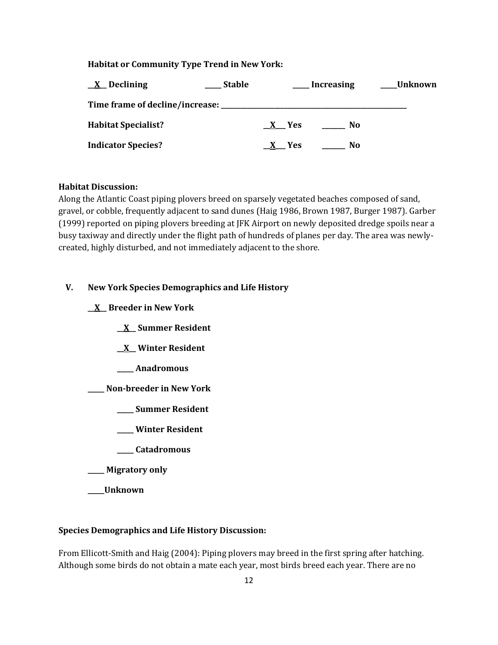# **Habitat or Community Type Trend in New York:**

| <u>X</u> Declining         | <b>Stable</b> |       | <b>Increasing</b> | Unknown |
|----------------------------|---------------|-------|-------------------|---------|
|                            |               |       |                   |         |
| <b>Habitat Specialist?</b> |               | X Yes | No.               |         |
| <b>Indicator Species?</b>  |               | X Yes | No                |         |

### **Habitat Discussion:**

Along the Atlantic Coast piping plovers breed on sparsely vegetated beaches composed of sand, gravel, or cobble, frequently adjacent to sand dunes (Haig 1986, Brown 1987, Burger 1987). Garber (1999) reported on piping plovers breeding at JFK Airport on newly deposited dredge spoils near a busy taxiway and directly under the flight path of hundreds of planes per day. The area was newlycreated, highly disturbed, and not immediately adjacent to the shore.

# **V. New York Species Demographics and Life History**

**\_\_X\_\_ Breeder in New York**

**\_\_X\_\_ Summer Resident**

**\_\_X\_\_ Winter Resident**

**\_\_\_\_\_ Anadromous**

**\_\_\_\_\_ Non-breeder in New York**

**\_\_\_\_\_ Summer Resident**

- **\_\_\_\_\_ Winter Resident**
- **\_\_\_\_\_ Catadromous**
- **\_\_\_\_\_ Migratory only**

**\_\_\_\_\_Unknown**

# **Species Demographics and Life History Discussion:**

From Ellicott-Smith and Haig (2004): Piping plovers may breed in the first spring after hatching. Although some birds do not obtain a mate each year, most birds breed each year. There are no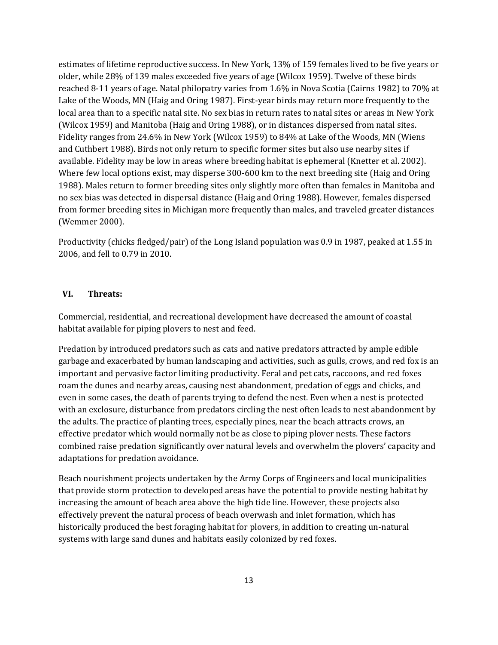estimates of lifetime reproductive success. In New York, 13% of 159 females lived to be five years or older, while 28% of 139 males exceeded five years of age (Wilcox 1959). Twelve of these birds reached 8-11 years of age. Natal philopatry varies from 1.6% in Nova Scotia (Cairns 1982) to 70% at Lake of the Woods, MN (Haig and Oring 1987). First-year birds may return more frequently to the local area than to a specific natal site. No sex bias in return rates to natal sites or areas in New York (Wilcox 1959) and Manitoba (Haig and Oring 1988), or in distances dispersed from natal sites. Fidelity ranges from 24.6% in New York (Wilcox 1959) to 84% at Lake of the Woods, MN (Wiens and Cuthbert 1988). Birds not only return to specific former sites but also use nearby sites if available. Fidelity may be low in areas where breeding habitat is ephemeral (Knetter et al. 2002). Where few local options exist, may disperse 300-600 km to the next breeding site (Haig and Oring 1988). Males return to former breeding sites only slightly more often than females in Manitoba and no sex bias was detected in dispersal distance (Haig and Oring 1988). However, females dispersed from former breeding sites in Michigan more frequently than males, and traveled greater distances (Wemmer 2000).

Productivity (chicks fledged/pair) of the Long Island population was 0.9 in 1987, peaked at 1.55 in 2006, and fell to 0.79 in 2010.

### **VI. Threats:**

Commercial, residential, and recreational development have decreased the amount of coastal habitat available for piping plovers to nest and feed.

Predation by introduced predators such as cats and native predators attracted by ample edible garbage and exacerbated by human landscaping and activities, such as gulls, crows, and red fox is an important and pervasive factor limiting productivity. Feral and pet cats, raccoons, and red foxes roam the dunes and nearby areas, causing nest abandonment, predation of eggs and chicks, and even in some cases, the death of parents trying to defend the nest. Even when a nest is protected with an exclosure, disturbance from predators circling the nest often leads to nest abandonment by the adults. The practice of planting trees, especially pines, near the beach attracts crows, an effective predator which would normally not be as close to piping plover nests. These factors combined raise predation significantly over natural levels and overwhelm the plovers' capacity and adaptations for predation avoidance.

Beach nourishment projects undertaken by the Army Corps of Engineers and local municipalities that provide storm protection to developed areas have the potential to provide nesting habitat by increasing the amount of beach area above the high tide line. However, these projects also effectively prevent the natural process of beach overwash and inlet formation, which has historically produced the best foraging habitat for plovers, in addition to creating un-natural systems with large sand dunes and habitats easily colonized by red foxes.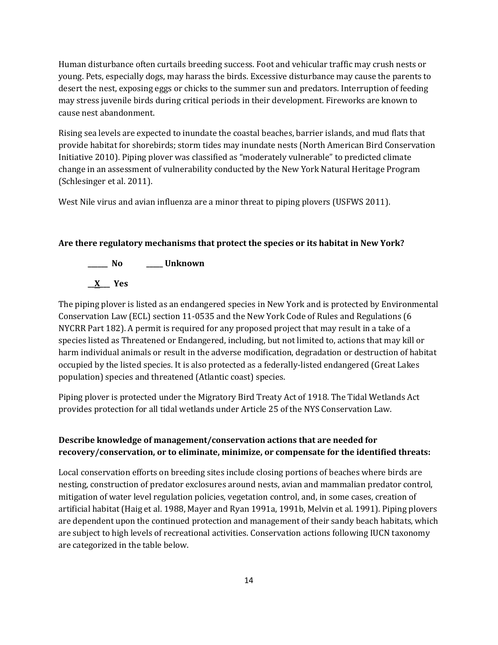Human disturbance often curtails breeding success. Foot and vehicular traffic may crush nests or young. Pets, especially dogs, may harass the birds. Excessive disturbance may cause the parents to desert the nest, exposing eggs or chicks to the summer sun and predators. Interruption of feeding may stress juvenile birds during critical periods in their development. Fireworks are known to cause nest abandonment.

Rising sea levels are expected to inundate the coastal beaches, barrier islands, and mud flats that provide habitat for shorebirds; storm tides may inundate nests (North American Bird Conservation Initiative 2010). Piping plover was classified as "moderately vulnerable" to predicted climate change in an assessment of vulnerability conducted by the New York Natural Heritage Program (Schlesinger et al. 2011).

West Nile virus and avian influenza are a minor threat to piping plovers (USFWS 2011).

#### **Are there regulatory mechanisms that protect the species or its habitat in New York?**

**\_\_\_\_\_\_ No \_\_\_\_\_ Unknown**

**\_\_X\_\_\_ Yes** 

The piping plover is listed as an endangered species in New York and is protected by Environmental Conservation Law (ECL) section 11-0535 and the New York Code of Rules and Regulations (6 NYCRR Part 182). A permit is required for any proposed project that may result in a take of a species listed as Threatened or Endangered, including, but not limited to, actions that may kill or harm individual animals or result in the adverse modification, degradation or destruction of habitat occupied by the listed species. It is also protected as a federally-listed endangered (Great Lakes population) species and threatened (Atlantic coast) species.

Piping plover is protected under the Migratory Bird Treaty Act of 1918. The Tidal Wetlands Act provides protection for all tidal wetlands under Article 25 of the NYS Conservation Law.

# **Describe knowledge of management/conservation actions that are needed for recovery/conservation, or to eliminate, minimize, or compensate for the identified threats:**

Local conservation efforts on breeding sites include closing portions of beaches where birds are nesting, construction of predator exclosures around nests, avian and mammalian predator control, mitigation of water level regulation policies, vegetation control, and, in some cases, creation of artificial habitat (Haig et al. 1988, Mayer and Ryan 1991a, 1991b, Melvin et al. 1991). Piping plovers are dependent upon the continued protection and management of their sandy beach habitats, which are subject to high levels of recreational activities. Conservation actions following IUCN taxonomy are categorized in the table below.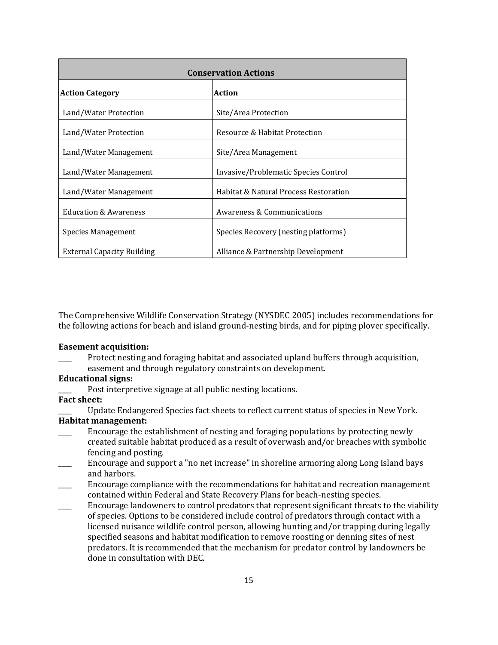| <b>Conservation Actions</b>       |                                       |  |
|-----------------------------------|---------------------------------------|--|
| <b>Action Category</b>            | <b>Action</b>                         |  |
| Land/Water Protection             | Site/Area Protection                  |  |
| Land/Water Protection             | Resource & Habitat Protection         |  |
| Land/Water Management             | Site/Area Management                  |  |
| Land/Water Management             | Invasive/Problematic Species Control  |  |
| Land/Water Management             | Habitat & Natural Process Restoration |  |
| Education & Awareness             | Awareness & Communications            |  |
| Species Management                | Species Recovery (nesting platforms)  |  |
| <b>External Capacity Building</b> | Alliance & Partnership Development    |  |

The Comprehensive Wildlife Conservation Strategy (NYSDEC 2005) includes recommendations for the following actions for beach and island ground-nesting birds, and for piping plover specifically.

#### **Easement acquisition:**

Protect nesting and foraging habitat and associated upland buffers through acquisition, easement and through regulatory constraints on development.

#### **Educational signs:**

Post interpretive signage at all public nesting locations.

# **Fact sheet:**

Update Endangered Species fact sheets to reflect current status of species in New York.

# **Habitat management:**

- Encourage the establishment of nesting and foraging populations by protecting newly created suitable habitat produced as a result of overwash and/or breaches with symbolic fencing and posting.
- \_\_\_\_ Encourage and support a "no net increase" in shoreline armoring along Long Island bays and harbors.
- \_\_\_\_ Encourage compliance with the recommendations for habitat and recreation management contained within Federal and State Recovery Plans for beach-nesting species.
- \_\_\_\_ Encourage landowners to control predators that represent significant threats to the viability of species. Options to be considered include control of predators through contact with a licensed nuisance wildlife control person, allowing hunting and/or trapping during legally specified seasons and habitat modification to remove roosting or denning sites of nest predators. It is recommended that the mechanism for predator control by landowners be done in consultation with DEC.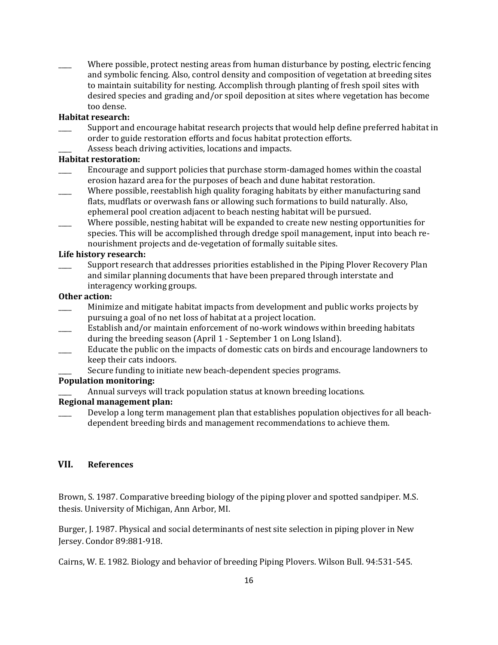Where possible, protect nesting areas from human disturbance by posting, electric fencing and symbolic fencing. Also, control density and composition of vegetation at breeding sites to maintain suitability for nesting. Accomplish through planting of fresh spoil sites with desired species and grading and/or spoil deposition at sites where vegetation has become too dense.

# **Habitat research:**

- Support and encourage habitat research projects that would help define preferred habitat in order to guide restoration efforts and focus habitat protection efforts.
- Assess beach driving activities, locations and impacts.

### **Habitat restoration:**

- \_\_\_\_ Encourage and support policies that purchase storm-damaged homes within the coastal erosion hazard area for the purposes of beach and dune habitat restoration.
- Where possible, reestablish high quality foraging habitats by either manufacturing sand flats, mudflats or overwash fans or allowing such formations to build naturally. Also, ephemeral pool creation adjacent to beach nesting habitat will be pursued.
- Where possible, nesting habitat will be expanded to create new nesting opportunities for species. This will be accomplished through dredge spoil management, input into beach renourishment projects and de-vegetation of formally suitable sites.

### **Life history research:**

Support research that addresses priorities established in the Piping Plover Recovery Plan and similar planning documents that have been prepared through interstate and interagency working groups.

### **Other action:**

- \_\_\_\_ Minimize and mitigate habitat impacts from development and public works projects by pursuing a goal of no net loss of habitat at a project location.
- Establish and/or maintain enforcement of no-work windows within breeding habitats during the breeding season (April 1 - September 1 on Long Island).
- Educate the public on the impacts of domestic cats on birds and encourage landowners to keep their cats indoors.
	- Secure funding to initiate new beach-dependent species programs.

# **Population monitoring:**

Annual surveys will track population status at known breeding locations.

# **Regional management plan:**

Develop a long term management plan that establishes population objectives for all beachdependent breeding birds and management recommendations to achieve them.

# **VII. References**

Brown, S. 1987. Comparative breeding biology of the piping plover and spotted sandpiper. M.S. thesis. University of Michigan, Ann Arbor, MI.

Burger, J. 1987. Physical and social determinants of nest site selection in piping plover in New Jersey. Condor 89:881-918.

Cairns, W. E. 1982. Biology and behavior of breeding Piping Plovers. Wilson Bull. 94:531-545.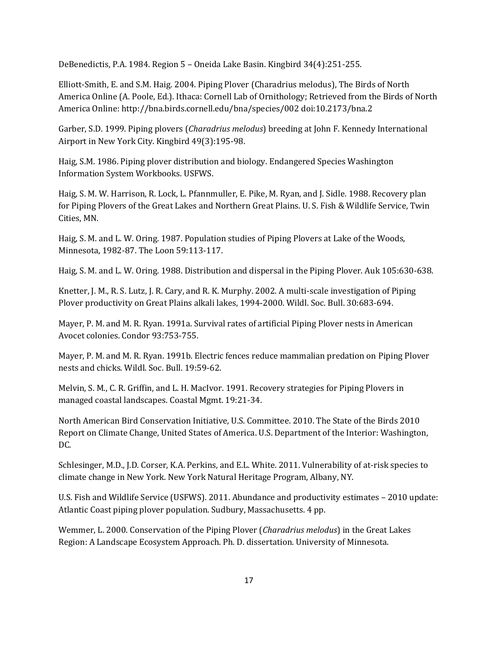DeBenedictis, P.A. 1984. Region 5 – Oneida Lake Basin. Kingbird 34(4):251-255.

Elliott-Smith, E. and S.M. Haig. 2004. Piping Plover (Charadrius melodus), The Birds of North America Online (A. Poole, Ed.). Ithaca: Cornell Lab of Ornithology; Retrieved from the Birds of North America Online[: http://bna.birds.cornell.edu/bna/species/002](http://bna.birds.cornell.edu/bna/species/002) [doi:10.2173/bna.2](http://dx.doi.org/10.2173/bna.2)

Garber, S.D. 1999. Piping plovers (*Charadrius melodus*) breeding at John F. Kennedy International Airport in New York City. Kingbird 49(3):195-98.

Haig, S.M. 1986. Piping plover distribution and biology. Endangered Species Washington Information System Workbooks. USFWS.

Haig, S. M. W. Harrison, R. Lock, L. Pfannmuller, E. Pike, M. Ryan, and J. Sidle. 1988. Recovery plan for Piping Plovers of the Great Lakes and Northern Great Plains. U. S. Fish & Wildlife Service, Twin Cities, MN.

Haig, S. M. and L. W. Oring. 1987. Population studies of Piping Plovers at Lake of the Woods, Minnesota, 1982-87. The Loon 59:113-117.

Haig, S. M. and L. W. Oring. 1988. Distribution and dispersal in the Piping Plover. Auk 105:630-638.

Knetter, J. M., R. S. Lutz, J. R. Cary, and R. K. Murphy. 2002. A multi-scale investigation of Piping Plover productivity on Great Plains alkali lakes, 1994-2000. Wildl. Soc. Bull. 30:683-694.

Mayer, P. M. and M. R. Ryan. 1991a. Survival rates of artificial Piping Plover nests in American Avocet colonies. Condor 93:753-755.

Mayer, P. M. and M. R. Ryan. 1991b. Electric fences reduce mammalian predation on Piping Plover nests and chicks. Wildl. Soc. Bull. 19:59-62.

Melvin, S. M., C. R. Griffin, and L. H. MacIvor. 1991. Recovery strategies for Piping Plovers in managed coastal landscapes. Coastal Mgmt. 19:21-34.

North American Bird Conservation Initiative, U.S. Committee. 2010. The State of the Birds 2010 Report on Climate Change, United States of America. U.S. Department of the Interior: Washington, DC.

Schlesinger, M.D., J.D. Corser, K.A. Perkins, and E.L. White. 2011. Vulnerability of at-risk species to climate change in New York. New York Natural Heritage Program, Albany, NY.

U.S. Fish and Wildlife Service (USFWS). 2011. Abundance and productivity estimates – 2010 update: Atlantic Coast piping plover population. Sudbury, Massachusetts. 4 pp.

Wemmer, L. 2000. Conservation of the Piping Plover (*Charadrius melodus*) in the Great Lakes Region: A Landscape Ecosystem Approach. Ph. D. dissertation. University of Minnesota.